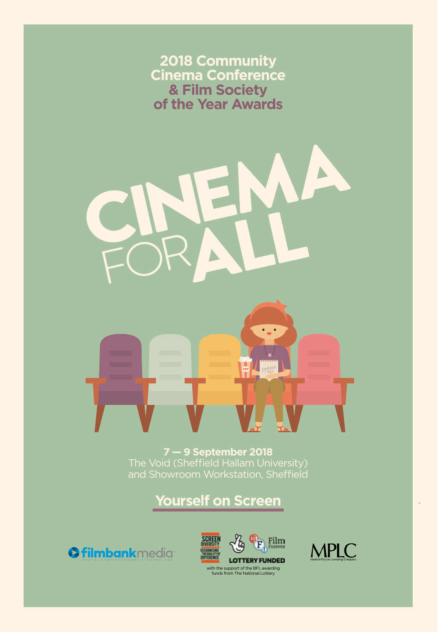**2018 Community Cinema Conference & Film Society of the Year Awards** 

 $\blacktriangle$ 

**7 — 9 September 2018** The Void (Sheffield Hallam University) and Showroom Workstation, Sheffield

**Yourself on Screen**

**Ofilmbankmedia** 





with the support of the BFI, awarding funds from The National Lottery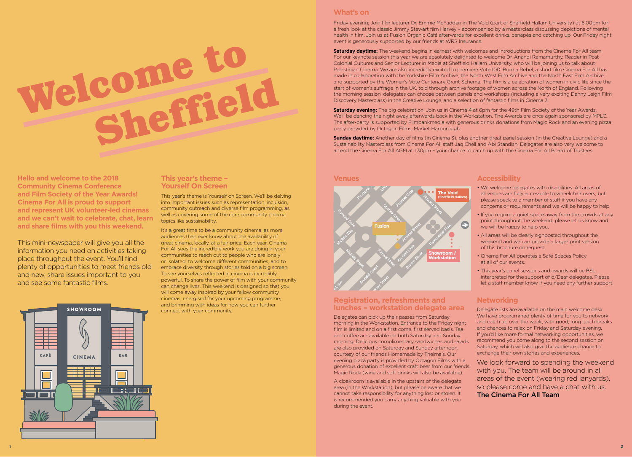

**Hello and welcome to the 2018 Community Cinema Conference and Film Society of the Year Awards! Cinema For All is proud to support and represent UK volunteer-led cinemas and we can't wait to celebrate, chat, learn and share films with you this weekend.**

This mini-newspaper will give you all the information you need on activities taking place throughout the event. You'll find plenty of opportunities to meet friends old and new, share issues important to you and see some fantastic films.

# **This year's theme – Yourself On Screen**

This year's theme is Yourself on Screen. We'll be delving into important issues such as representation, inclusion, community outreach and diverse film programming, as well as covering some of the core community cinema topics like sustainability.

It's a great time to be a community cinema, as more audiences than ever know about the availability of great cinema, locally, at a fair price. Each year, Cinema For All sees the incredible work you are doing in your communities to reach out to people who are lonely or isolated, to welcome different communities, and to embrace diversity through stories told on a big screen. To see yourselves reflected in cinema is incredibly powerful. To share the power of film with your community can change lives. This weekend is designed so that you will come away inspired by your fellow community cinemas, energised for your upcoming programme, and brimming with ideas for how you can further connect with your community.

### **What's on**

Friday evening: Join film lecturer Dr. Emmie McFadden in The Void (part of Sheffield Hallam University) at 6.00pm for a fresh look at the classic Jimmy Stewart film Harvey – accompanied by a masterclass discussing depictions of mental health in film. Join us at Fusion Organic Café afterwards for excellent drinks, canapés and catching up. Our Friday night event is generously supported by our friends at WRS Insurance.

**Saturday daytime:** The weekend begins in earnest with welcomes and introductions from the Cinema For All team. For our keynote session this year we are absolutely delighted to welcome Dr. Anandi Ramamurthy, Reader in Post-Colonial Cultures and Senior Lecturer in Media at Sheffield Hallam University, who will be joining us to talk about Palestinian Cinema. We are also incredibly excited to premiere Vote 100: Born a Rebel, a short film Cinema For All has made in collaboration with the Yorkshire Film Archive, the North West Film Archive and the North East Film Archive, and supported by the Women's Vote Centenary Grant Scheme. The film is a celebration of women in civic life since the start of women's suffrage in the UK, told through archive footage of women across the North of England. Following the morning session, delegates can choose between panels and workshops (including a very exciting Danny Leigh Film Discovery Masterclass) in the Creative Lounge, and a selection of fantastic films in Cinema 3.

**Saturday evening:** The big celebration! Join us in Cinema 4 at 6pm for the 49th Film Society of the Year Awards. We'll be dancing the night away afterwards back in the Workstation. The Awards are once again sponsored by MPLC. The after-party is supported by Filmbankmedia with generous drinks donations from Magic Rock and an evening pizza party provided by Octagon Films, Market Harborough.

**Sunday daytime:** Another day of films (in Cinema 3), plus another great panel session (in the Creative Lounge) and a Sustainability Masterclass from Cinema For All staff Jaq Chell and Abi Standish. Delegates are also very welcome to attend the Cinema For All AGM at 1.30pm – your chance to catch up with the Cinema For All Board of Trustees.

#### **Venues**



### **Registration, refreshments and lunches – workstation delegate area**

Delegates can pick up their passes from Saturday morning in the Workstation. Entrance to the Friday night film is limited and on a first come, first served basis. Tea and coffee are available on both Saturday and Sunday morning. Delicious complimentary sandwiches and salads are also provided on Saturday and Sunday afternoon, courtesy of our friends Homemade by Thelma's. Our evening pizza party is provided by Octagon Films with a generous donation of excellent craft beer from our friends Magic Rock (wine and soft drinks will also be available).

A cloakroom is available in the upstairs of the delegate area (in the Workstation), but please be aware that we cannot take responsibility for anything lost or stolen. It is recommended you carry anything valuable with you during the event.

#### **Accessibility**

- We welcome delegates with disabilities. All areas of all venues are fully accessible to wheelchair users, but please speak to a member of staff if you have any concerns or requirements and we will be happy to help.
- If you require a quiet space away from the crowds at any point throughout the weekend, please let us know and we will be happy to help you.
- All areas will be clearly signposted throughout the weekend and we can provide a larger print version of this brochure on request.
- Cinema For All operates a Safe Spaces Policy at all of our events.
- This year's panel sessions and awards will be BSL interpreted for the support of d/Deaf delegates. Please let a staff member know if you need any further support.

## **Networking**

Delegate lists are available on the main welcome desk. We have programmed plenty of time for you to network and catch up over the week, with good, long lunch breaks and chances to relax on Friday and Saturday evening. If you'd like more formal networking opportunities, we recommend you come along to the second session on Saturday, which will also give the audience chance to exchange their own stories and experiences.

We look forward to spending the weekend with you. The team will be around in all areas of the event (wearing red lanyards), so please come and have a chat with us. The Cinema For All Team

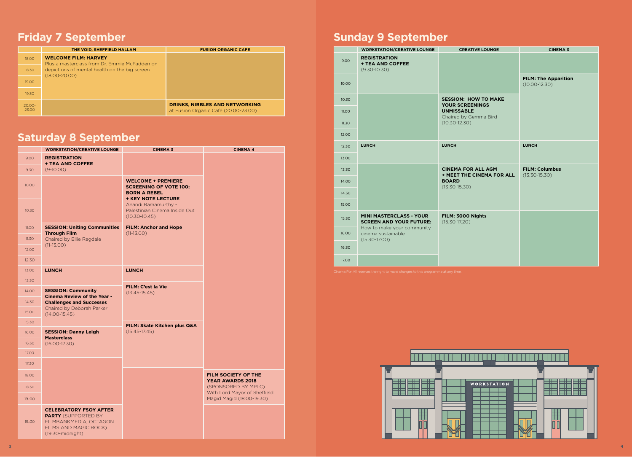# **Friday 7 September**

|                    | THE VOID, SHEFFIELD HALLAM                                                   | <b>FUSION ORGANIC CAFE</b>                                                    |
|--------------------|------------------------------------------------------------------------------|-------------------------------------------------------------------------------|
| 18.00              | <b>WELCOME FILM: HARVEY</b><br>Plus a masterclass from Dr. Emmie McFadden on |                                                                               |
| 18.30              | depictions of mental health on the big screen<br>$(18.00 - 20.00)$           |                                                                               |
| 19.00              |                                                                              |                                                                               |
| 19.30              |                                                                              |                                                                               |
| $20.00 -$<br>23.00 |                                                                              | <b>DRINKS, NIBBLES AND NETWORKING</b><br>at Fusion Organic Café (20.00-23.00) |

# **Saturday 8 September**

|        | <b>WORKSTATION/CREATIVE LOUNGE</b>                                                                                                                   | <b>CINEMA 3</b>                                                                                                | <b>CINEMA 4</b>                                           |  |  |
|--------|------------------------------------------------------------------------------------------------------------------------------------------------------|----------------------------------------------------------------------------------------------------------------|-----------------------------------------------------------|--|--|
| 9.00   | <b>REGISTRATION</b><br><b>+ TEA AND COFFEE</b>                                                                                                       |                                                                                                                |                                                           |  |  |
| 9.30   | $(9-10.00)$                                                                                                                                          |                                                                                                                |                                                           |  |  |
| 10.00  |                                                                                                                                                      | <b>WELCOME + PREMIERE</b><br><b>SCREENING OF VOTE 100:</b><br><b>BORN A REBEL</b><br><b>+ KEY NOTE LECTURE</b> |                                                           |  |  |
| 10.30  |                                                                                                                                                      | Anandi Ramamurthy -<br>Palestinian Cinema Inside Out<br>$(10.30 - 10.45)$                                      |                                                           |  |  |
| 11.00  | <b>SESSION: Uniting Communities</b><br><b>Through Film</b>                                                                                           | <b>FILM: Anchor and Hope</b><br>$(11-13.00)$                                                                   |                                                           |  |  |
| 11.30  | Chaired by Ellie Ragdale                                                                                                                             |                                                                                                                |                                                           |  |  |
| 12.00  | $(11-13.00)$                                                                                                                                         |                                                                                                                |                                                           |  |  |
| 12.30  |                                                                                                                                                      |                                                                                                                |                                                           |  |  |
| 13.00  | <b>LUNCH</b>                                                                                                                                         | <b>LUNCH</b>                                                                                                   |                                                           |  |  |
| 13.30  |                                                                                                                                                      | FILM: C'est la Vie                                                                                             |                                                           |  |  |
| 14.00  | <b>SESSION: Community</b><br><b>Cinema Review of the Year -</b><br><b>Challenges and Successes</b><br>Chaired by Deborah Parker<br>$(14.00 - 15.45)$ | $(13.45 - 15.45)$                                                                                              |                                                           |  |  |
| 14.30  |                                                                                                                                                      |                                                                                                                |                                                           |  |  |
| 15.00  |                                                                                                                                                      |                                                                                                                |                                                           |  |  |
| 15.30  |                                                                                                                                                      | FILM: Skate Kitchen plus Q&A                                                                                   |                                                           |  |  |
| 16.00  | <b>SESSION: Danny Leigh</b><br><b>Masterclass</b>                                                                                                    | $(15.45 - 17.45)$                                                                                              |                                                           |  |  |
| 16.30  | $(16.00 - 17.30)$                                                                                                                                    |                                                                                                                |                                                           |  |  |
| 17.00  |                                                                                                                                                      |                                                                                                                |                                                           |  |  |
| 17.30  |                                                                                                                                                      |                                                                                                                |                                                           |  |  |
| 18.00  |                                                                                                                                                      |                                                                                                                | FILM SOCIETY OF THE<br><b>YEAR AWARDS 2018</b>            |  |  |
| 18.30  |                                                                                                                                                      |                                                                                                                | (SPONSORED BY MPLC)                                       |  |  |
| 19.:00 |                                                                                                                                                      |                                                                                                                | With Lord Mayor of Sheffield<br>Magid Magid (18.00-19.30) |  |  |
| 19.:30 | <b>CELEBRATORY FSOY AFTER</b><br><b>PARTY</b> (SUPPORTED BY<br>FILMBANKMEDIA, OCTAGON<br>FILMS AND MAGIC ROCK)<br>$(19.30\text{-midnight})$          |                                                                                                                |                                                           |  |  |

# **Sunday 9 September**

|       | <b>WORKSTATION/CREATIVE LOUNGE</b>                                     | <b>CREATIVE LOUNGE</b>                                        | <b>CINEMA 3</b>                                  |  |  |
|-------|------------------------------------------------------------------------|---------------------------------------------------------------|--------------------------------------------------|--|--|
| 9.00  | <b>REGISTRATION</b><br><b>+ TEA AND COFFEE</b><br>$(9.30 - 10.30)$     |                                                               |                                                  |  |  |
| 10.00 |                                                                        |                                                               | <b>FILM: The Apparition</b><br>$(10.00 - 12.30)$ |  |  |
| 10.30 |                                                                        | <b>SESSION: HOW TO MAKE</b><br><b>YOUR SCREENINGS</b>         |                                                  |  |  |
| 11.00 |                                                                        | <b>UNMISSABLE</b><br>Chaired by Gemma Bird                    |                                                  |  |  |
| 11.30 |                                                                        | $(10.30 - 12.30)$                                             |                                                  |  |  |
| 12.00 |                                                                        |                                                               |                                                  |  |  |
| 12.30 | <b>LUNCH</b>                                                           | <b>LUNCH</b>                                                  | <b>LUNCH</b>                                     |  |  |
| 13.00 |                                                                        |                                                               |                                                  |  |  |
| 13.30 |                                                                        | <b>CINEMA FOR ALL AGM</b><br><b>+ MEET THE CINEMA FOR ALL</b> | <b>FILM: Columbus</b><br>$(13.30 - 15.30)$       |  |  |
| 14.00 |                                                                        | <b>BOARD</b><br>$(13.30 - 15.30)$                             |                                                  |  |  |
| 14.30 |                                                                        |                                                               |                                                  |  |  |
| 15.00 |                                                                        |                                                               |                                                  |  |  |
| 15.30 | <b>MINI MASTERCLASS - YOUR</b><br><b>SCREEN AND YOUR FUTURE:</b>       | FILM: 3000 Nights<br>$(15.30 - 17.20)$                        |                                                  |  |  |
| 16.00 | How to make your community<br>cinema sustainable.<br>$(15.30 - 17.00)$ |                                                               |                                                  |  |  |
| 16.30 |                                                                        |                                                               |                                                  |  |  |
| 17.00 |                                                                        |                                                               |                                                  |  |  |

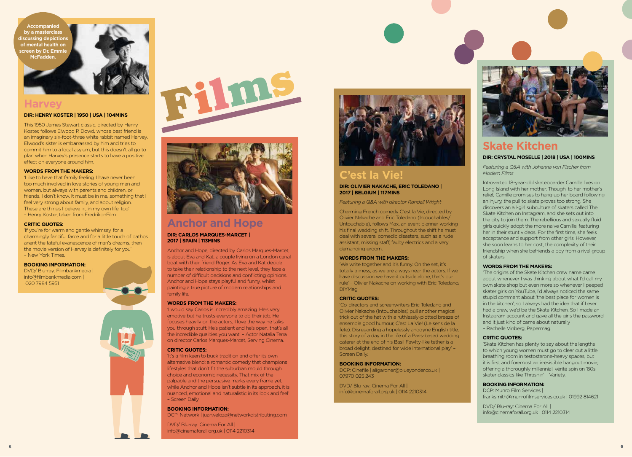**Accompanied by a masterclass discussing depictions of mental health on screen by Dr. Emmie McFadden.**



# **Harvey**

#### **DIR: HENRY KOSTER | 1950 | USA | 104MINS**

This 1950 James Stewart classic, directed by Henry Koster, follows Elwood P. Dowd, whose best friend is an imaginary six-foot-three white rabbit named Harvey. Elwood's sister is embarrassed by him and tries to commit him to a local asylum, but this doesn't all go to plan when Harvey's presence starts to have a positive effect on everyone around him.

#### **WORDS FROM THE MAKERS:**

'I like to have that family feeling. I have never been too much involved in love stories of young men and women, but always with parents and children, or friends. I don't know. It must be in me, something that I feel very strong about family, and about religion. These are things I believe in, in my own life, too' – Henry Koster, taken from FredrikonFilm.

#### **CRITIC QUOTES:**

'If you're for warm and gentle whimsey, for a charmingly fanciful farce and for a little touch of pathos anent the fateful evanescence of man's dreams, then the movie version of Harvey is definitely for you' – New York Times.

#### **BOOKING INFORMATION:**

DVD/ Blu-ray: Filmbankmedia | info@filmbankmedia.com | 020 7984 5951





# **Anchor and Hope**

#### **DIR: CARLOS MARQUES-MARCET | 2017 | SPAIN | 113MINS**

Anchor and Hope, directed by Carlos Marques-Marcet, is about Eva and Kat, a couple living on a London canal boat with their friend Roger. As Eva and Kat decide to take their relationship to the next level, they face a number of difficult decisions and conflicting opinions. Anchor and Hope stays playful and funny, whilst painting a true picture of modern relationships and family life.

#### **WORDS FROM THE MAKERS:**

'I would say Carlos is incredibly amazing. He's very emotive but he trusts everyone to do their job. He focuses heavily on the actors, I love the way he talks you through stuff. He's patient and he's open, that's all the incredible qualities you want' – Actor Natalia Tena on director Carlos Marques-Marcet, Serving Cinema.

#### **CRITIC QUOTES:**

'It's a film keen to buck tradition and offer its own alternative blend; a romantic comedy that champions lifestyles that don't fit the suburban mould through choice and economic necessity. That mix of the palpable and the persuasive marks every frame yet, while Anchor and Hope isn't subtle in its approach, it is nuanced, emotional and naturalistic in its look and feel' – Screen Daily

#### **BOOKING INFORMATION:**

DCP: Network | juan.veloza@networkdistributing.com

DVD/ Blu-ray: Cinema For All | info@cinemaforall.org.uk | 0114 2210314



# **C'est la Vie!**

**DIR: OLIVIER NAKACHE, ERIC TOLEDANO | 2017 | BELGIUM | 117MINS**

#### *Featuring a Q&A with director Randall Wright*

Charming French comedy C'est la Vie, directed by Olivier Nakache and Éric Toledano (Intouchables/ Untouchable), follows Max, an event planner working his final wedding shift. Throughout the shift he must deal with several comedic disasters, such as a rude assistant, missing staff, faulty electrics and a very demanding groom.

#### **WORDS FROM THE MAKERS:**

'We write together and it's funny. On the set, it's totally a mess, as we are always near the actors. If we have discussion we have it outside alone, that's our rule' – Olivier Nakache on working with Eric Toledano, DIYMag.

#### **CRITIC QUOTES:**

'Co-directors and screenwriters Eric Toledano and Olivier Nakache (Intouchables) pull another magical trick out of the hat with a ruthlessly-plotted breeze of ensemble good humour, C'est La Vie! (Le sens de la fete). Disregarding a hopelessly anodyne English title, this story of a day in the life of a Paris-based wedding caterer at the end of his Basil Fawlty-like tether is a broad delight, destined for wide international play' – Screen Daily.

#### **BOOKING INFORMATION:**

DCP: Cinefile | aligardner@blueyonder.co.uk | 07970 025 243

DVD/ Blu-ray: Cinema For All | info@cinemaforall.org.uk | 0114 2210314



# **Skate Kitchen DIR: CRYSTAL MOSELLE | 2018 | USA | 100MINS**

*Featuring a Q&A with Johanna von Fischer from Modern Films*

Introverted 18-year-old skateboarder Camille lives on Long Island with her mother. Though, to her mother's relief, Camille promises to hang up her board following an injury, the pull to skate proves too strong. She discovers an all-girl subculture of skaters called The Skate Kitchen on Instagram, and she sets out into the city to join them. The rebellious and sexually fluid girls quickly adopt the more naive Camille, featuring her in their stunt videos. For the first time, she feels acceptance and support from other girls. However, she soon learns to her cost, the complexity of their friendship when she befriends a boy from a rival group of skaters.

#### **WORDS FROM THE MAKERS:**

'The origins of the Skate Kitchen crew name came about whenever I was thinking about what I'd call my own skate shop but even more so whenever I peeped skater girls on YouTube, I'd always noticed the same stupid comment about 'the best place for women is in the kitchen', so I always had the idea that if I ever had a crew, we'd be the Skate Kitchen. So I made an Instagram account and gave all the girls the password and it just kind of came about naturally ' – Rachelle Vinberg, Papermag.

#### **CRITIC QUOTES:**

'Skate Kitchen has plenty to say about the lengths to which young women must go to clear out a little breathing room in testosterone-heavy spaces, but it is first and foremost an irresistible hangout movie, offering a thoroughly millennial, vérité spin on '80s skater classics like Thrashin' – Variety.

#### **BOOKING INFORMATION:**

DCP: Munro Film Services | franksmith@munrofilmservices.co.uk | 01992 814621

DVD/ Blu-ray: Cinema For All | info@cinemaforall.org.uk | 0114 2210314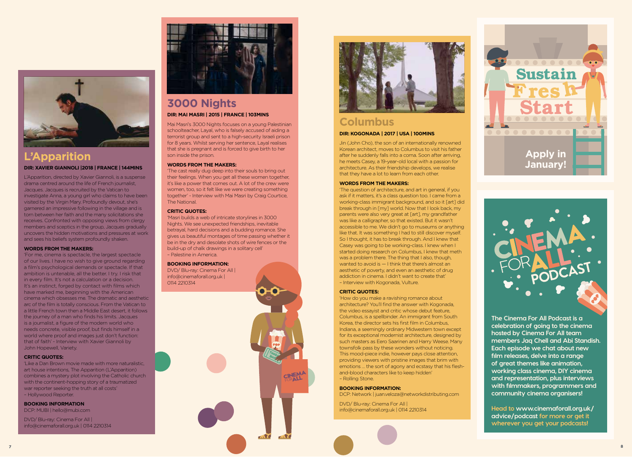

# **L'Apparition DIR: XAVIER GIANNOLI |2018 | FRANCE | 144MINS**

L'Apparition, directed by Xavier Giannoli, is a suspense drama centred around the life of French journalist, Jacques. Jacques is recruited by the Vatican to investigate Anna, a young girl who claims to have been visited by the Virgin Mary. Profoundly devout, she's garnered an impressive following in the village and is torn between her faith and the many solicitations she receives. Confronted with opposing views from clergy members and sceptics in the group, Jacques gradually uncovers the hidden motivations and pressures at work and sees his beliefs system profoundly shaken.

#### **WORDS FROM THE MAKERS:**

'For me, cinema is spectacle, the largest spectacle of our lives. I have no wish to give ground regarding a film's psychological demands or spectacle. If that ambition is untenable, all the better. I try. I risk that in every film. It's not a calculation or a decision. It's an instinct, forged by contact with films which have marked me, beginning with the American cinema which obsesses me. The dramatic and aesthetic arc of the film is totally conscious. From the Vatican to a little French town then a Middle East desert, it follows the journey of a man who finds his limits. Jacques is a journalist, a figure of the modern world who needs concrete, visible proof, but finds himself in a world where proof and images just don't function: that of faith' - Interview with Xavier Giannoli by John Hopewell, Variety.

#### **CRITIC QUOTES:**

'Like a Dan Brown movie made with more naturalistic, art house intentions, The Apparition (L'Apparition) combines a mystery plot involving the Catholic church with the continent-hopping story of a traumatized war reporter seeking the truth at all costs' – Hollywood Reporter.

#### **BOOKING INFORMATION**

DCP: MUBI | hello@mubi.com

DVD/ Blu-ray: Cinema For All | info@cinemaforall.org.uk | 0114 2210314



# **3000 Nights DIR: MAI MASRI | 2015 | FRANCE | 103MINS**

Mai Masri's 3000 Nights focuses on a young Palestinian schoolteacher, Layal, who is falsely accused of aiding a terrorist group and sent to a high-security Israeli prison for 8 years. Whilst serving her sentence, Layal realises that she is pregnant and is forced to give birth to her son inside the prison.

#### **WORDS FROM THE MAKERS:**

'The cast really dug deep into their souls to bring out their feelings. When you get all these women together, it's like a power that comes out. A lot of the crew were women, too, so it felt like we were creating something together' - Interview with Mai Masri by Craig Courtice, The National.

#### **CRITIC QUOTES:**

'Masri builds a web of intricate storylines in 3000 Nights. We see unexpected friendships, inevitable betrayal, hard decisions and a budding romance. She gives us beautiful montages of time passing whether it be in the dry and desolate shots of wire fences or the build-up of chalk drawings in a solitary cell' – Palestine in America.

TIV<sub>O</sub>

#### **BOOKING INFORMATION:**

DVD/ Blu-ray: Cinema For All | info@cinemaforall.org.uk | 0114 2210314



# **Columbus**

#### **DIR: KOGONADA | 2017 | USA | 100MINS**

Jin (John Cho), the son of an internationally renowned Korean architect, moves to Columbus to visit his father after he suddenly falls into a coma. Soon after arriving, he meets Casey, a 19-year-old local with a passion for architecture. As their friendship develops, we realise that they have a lot to learn from each other.

#### **WORDS FROM THE MAKERS:**

'The question of architecture, and art in general, if you ask if it matters, it's a class question too. I came from a working-class immigrant background, and so it [art] did break through in [my] world. Now that I look back, my parents were also very great at [art], my grandfather was like a calligrapher, so that existed. But it wasn't accessible to me. We didn't go to museums or anything like that. It was something I had to still discover myself. So I thought, it has to break through. And I knew that Casey was going to be working-class. I knew when I started doing research on Columbus, I knew that meth was a problem there. The thing that I also, though, wanted to avoid is — I think that there's almost an aesthetic of poverty, and even an aesthetic of drug addiction in cinema. I didn't want to create that' – Interview with Kogonada, Vulture.

#### **CRITIC QUOTES:**

'How do you make a ravishing romance about architecture? You'll find the answer with Kogonada, the video essayist and critic whose debut feature, Columbus, is a spellbinder. An immigrant from South Korea, the director sets his first film in Columbus, Indiana, a seemingly ordinary Midwestern town except for its exceptional modernist architecture, designed by such masters as Eero Saarinen and Harry Weese. Many townsfolk pass by these wonders without noticing. This mood-piece indie, however pays close attention, providing viewers with pristine images that brim with emotions … the sort of agony and ecstasy that his fleshand-blood characters like to keep hidden' – Rolling Stone.

#### **BOOKING INFORMATION:**

DCP: Network | juan.veloza@networkdistributing.com

DVD/ Blu-ray: Cinema For All | info@cinemaforall.org.uk | 0114 2210314





**The Cinema For All Podcast is a celebration of going to the cinema hosted by Cinema For All team members Jaq Chell and Abi Standish. Each episode we chat about new film releases, delve into a range of great themes like animation, working class cinema, DIY cinema and representation, plus interviews with filmmakers, programmers and community cinema organisers!**

**Head to www.cinemaforall.org.uk/ advice/podcast for more or get it wherever you get your podcasts!**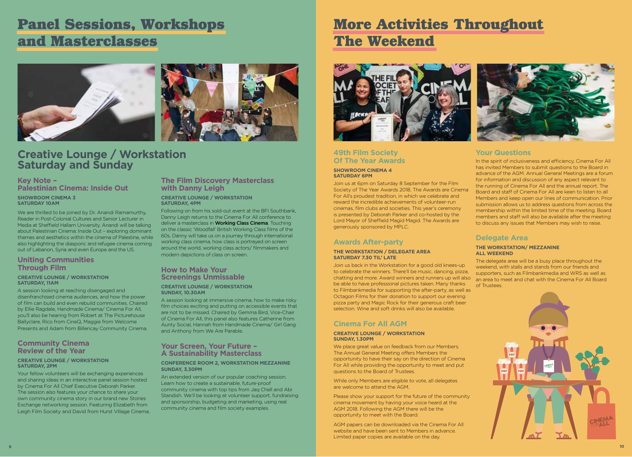# **Panel Sessions, Workshops and Masterclasses**



# **Creative Lounge / Workstation Saturday and Sunday**

# **Key Note – Palestinian Cinema: Inside Out**

**SHOWROOM CINEMA 3 SATURDAY 10AM**

We are thrilled to be joined by Dr. Anandi Ramamurthy, Reader in Post-Colonial Cultures and Senior Lecturer in Media at Sheffield Hallam University. Anandi will be talking about Palestinian Cinema: Inside Out – exploring dominant themes and aesthetics within the cinema of Palestine, while also highlighting the diasporic and refugee cinema coming out of Lebanon, Syria and even Europe and the US.

### **Uniting Communities Through Film**

#### **CREATIVE LOUNGE / WORKSTATION SATURDAY, 11AM**

A session looking at reaching disengaged and disenfranchised cinema audiences, and how the power of film can build and even rebuild communities. Chaired by Ellie Ragdale, Handmade Cinema/ Cinema For All, you'll also be hearing from Robert at The Picturehouse Ballyclare, Rico from CineQ, Maggie from Welcome Presents and Adam from Billericay Community Cinema.

## **Community Cinema Review of the Year**

#### **CREATIVE LOUNGE / WORKSTATION SATURDAY, 2PM**

Your fellow volunteers will be exchanging experiences and sharing ideas in an interactive panel session hosted by Cinema For All Chief Executive Deborah Parker. The session also features your chance to share your own community cinema story in our brand new Stories Exchange networking session. Featuring Elizabeth from Leigh Film Society and David from Hurst Village Cinema.

# **The Film Discovery Masterclass with Danny Leigh**

**CREATIVE LOUNGE / WORKSTATION SATURDAY, 4PM**

Following on from his sold-out event at the BFI Southbank, Danny Leigh returns to the Cinema For All conference to deliver a masterclass in **Working Class Cinema**. Touching on the classic 'Woodfall' British Working Class films of the 60s, Danny will take us on a journey through international working class cinema, how class is portrayed on screen around the world, working class actors/ filmmakers and modern depictions of class on screen.

### **How to Make Your Screenings Unmissable**

#### **CREATIVE LOUNGE / WORKSTATION SUNDAY, 10.30AM**

A session looking at immersive cinema, how to make risky film choices exciting and putting on accessible events that are not to be missed. Chaired by Gemma Bird, Vice-Chair of Cinema For All, this panel also features Catherine from Aunty Social, Hannah from Handmade Cinema/ Girl Gang and Anthony from We Are Parable.

## **Your Screen, Your Future – A Sustainability Masterclass**

#### **CONFERENCE ROOM 2, WORKSTATION MEZZANINE SUNDAY, 3.30PM**

An extended version of our popular coaching session. Learn how to create a sustainable, future-proof community cinema with top tips from Jaq Chell and Abi Standish. We'll be looking at volunteer support, fundraising and sponsorship, budgeting and marketing, using real community cinema and film society examples.

# **More Activities Throughout The Weekend**



## **49th Film Society Of The Year Awards**

#### **SHOWROOM CINEMA 4 SATURDAY 6PM**

Join us at 6pm on Saturday 8 September for the Film Society of The Year Awards 2018. The Awards are Cinema For All's proudest tradition, in which we celebrate and reward the incredible achievements of volunteer-run cinemas, film clubs and societies. This year's ceremony is presented by Deborah Parker and co-hosted by the Lord Mayor of Sheffield Magid Magid. The Awards are generously sponsored by MPLC.

# **Awards After-party**

#### **THE WORKSTATION / DELEGATE AREA SATURDAY 7.30 TIL' LATE**

Join us back in the Workstation for a good old knees-up to celebrate the winners. There'll be music, dancing, pizza, chatting and more. Award winners and runners up will also be able to have professional pictures taken. Many thanks to Filmbankmedia for supporting the after-party, as well as Octagon Films for their donation to support our evening pizza party and Magic Rock for their generous craft beer selection. Wine and soft drinks will also be available.

# **Cinema For All AGM**

#### **CREATIVE LOUNGE / WORKSTATION SUNDAY, 1.30PM**

We place great value on feedback from our Members. The Annual General Meeting offers Members the opportunity to have their say on the direction of Cinema For All while providing the opportunity to meet and put questions to the Board of Trustees.

While only Members are eligible to vote, all delegates are welcome to attend the AGM.

Please show your support for the future of the community cinema movement by having your voice heard at the AGM 2018. Following the AGM there will be the opportunity to meet with the Board.

AGM papers can be downloaded via the Cinema For All website and have been sent to Members in advance. Limited paper copies are available on the day.



# **Your Questions**

In the spirit of inclusiveness and efficiency, Cinema For All has invited Members to submit questions to the Board in advance of the AGM. Annual General Meetings are a forum for information and discussion of any aspect relevant to the running of Cinema For All and the annual report. The Board and staff of Cinema For All are keen to listen to all Members and keep open our lines of communication. Prior submission allows us to address questions from across the membership within the limited time of the meeting. Board members and staff will also be available after the meeting to discuss any issues that Members may wish to raise.

## **Delegate Area**

#### **THE WORKSTATION/ MEZZANINE ALL WEEKEND**

The delegate area will be a busy place throughout the weekend, with stalls and stands from our friends and supporters, such as Filmbankmedia and WRS as well as an area to meet and chat with the Cinema For All Board of Trustees.

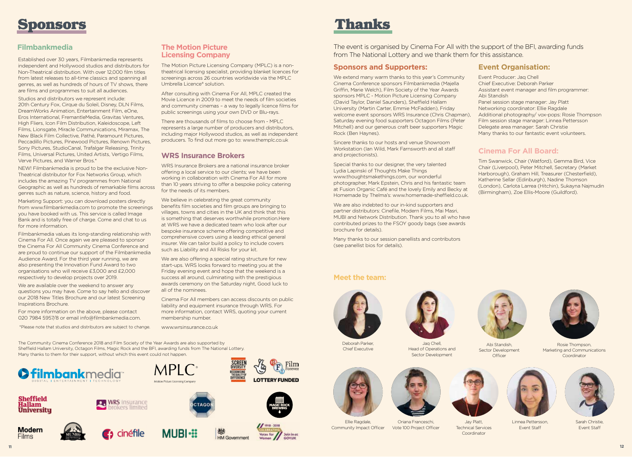

## **Filmbankmedia**

Established over 30 years, Filmbankmedia represents independent and Hollywood studios and distributors for Non-Theatrical distribution. With over 12,000 film titles from latest releases to all-time classics and spanning all genres, as well as hundreds of hours of TV shows, there are films and programmes to suit all audiences.

Studios and distributors we represent include: 20th Century Fox, Cirque du Soleil, Disney, DLN Films, DreamWorks Animation, Entertainment Film, eOne, Eros International, FremantleMedia, Gravitas Ventures, High Fliers, Icon Film Distribution, Kaleidoscope, Left Films, Lionsgate, Miracle Communications, Miramax, The New Black Film Collective, Pathé, Paramount Pictures, Peccadillo Pictures, Pinewood Pictures, Renown Pictures, Sony Pictures, StudioCanal, Trafalgar Releasing, Trinity Films, Universal Pictures, United Artists, Vertigo Films, Verve Pictures, and Warner Bros.\*

NEW! Filmbankmedia is proud to be the exclusive Non-Theatrical distributor for Fox Networks Group, which includes the amazing TV programmes from National Geographic as well as hundreds of remarkable films across genres such as nature, science, history and food.

Marketing Support: you can download posters directly from www.filmbankmedia.com to promote the screenings you have booked with us. This service is called Image Bank and is totally free of charge. Come and chat to us for more information.

Filmbankmedia values its long-standing relationship with Cinema For All. Once again we are pleased to sponsor the Cinema For All Community Cinema Conference and are proud to continue our support of the Filmbankmedia Audience Award. For the third year running, we are also presenting the Innovation Fund Award to two organisations who will receive £3,000 and £2,000 respectively to develop projects over 2019.

We are available over the weekend to answer any questions you may have. Come to say hello and discover our 2018 New Titles Brochure and our latest Screening Inspirations Brochure.

For more information on the above, please contact 020 7984 5957/8 or email info@filmbankmedia.com.

\*Please note that studios and distributors are subject to change.

**The Motion Picture Licensing Company**

The Motion Picture Licensing Company (MPLC) is a nontheatrical licensing specialist, providing blanket licences for screenings across 26 countries worldwide via the MPLC Umbrella Licence® solution.

After consulting with Cinema For All, MPLC created the Movie Licence in 2009 to meet the needs of film societies and community cinemas – a way to legally licence films for public screenings using your own DVD or Blu-rays.

There are thousands of films to choose from - MPLC represents a large number of producers and distributors, including major Hollywood studios, as well as independent producers. To find out more go to: www.themplc.co.uk

## **WRS Insurance Brokers**

WRS Insurance Brokers are a national insurance broker offering a local service to our clients; we have been working in collaboration with Cinema For All for more than 10 years striving to offer a bespoke policy catering for the needs of its members.

We believe in celebrating the great community benefits film societies and film groups are bringing to villages, towns and cities in the UK and think that this is something that deserves worthwhile promotion.Here at WRS we have a dedicated team who look after our bespoke insurance scheme offering competitive and comprehensive covers using a leading ethical general insurer. We can tailor build a policy to include covers such as Liability and All Risks for your kit.

We are also offering a special rating structure for new start-ups. WRS looks forward to meeting you at the Friday evening event and hope that the weekend is a success all around, culminating with the prestigious awards ceremony on the Saturday night, Good luck to all of the nominees.

Cinema For All members can access discounts on public liability and equipment insurance through WRS. For more information, contact WRS, quoting your current membership number.

www.wrsinsurance.co.uk

The Community Cinema Conference 2018 and Film Society of the Year Awards are also supported by Sheffield Hallam University, Octagon Films, Magic Rock and the BFI, awarding funds from The National Lottery. Many thanks to them for their support, without which this event could not happen.

rokers limited

cinéfile







**MUBI-**



**HM Government** 





Film

The event is organised by Cinema For All with the support of the BFI, awarding funds from The National Lottery and we thank them for this assistance.

### **Sponsors and Supporters:**

We extend many warm thanks to this year's Community Cinema Conference sponsors Filmbankmedia (Majella Griffin, Marie Welch), Film Society of the Year Awards sponsors MPLC - Motion Picture Licensing Company (David Taylor, Daniel Saunders), Sheffield Hallam University (Martin Carter, Emmie McFadden), Friday welcome event sponsors WRS Insurance (Chris Chapman), Saturday evening food supporters Octagon Films (Peter Mitchell) and our generous craft beer supporters Magic Rock (Ben Haynes).

Sincere thanks to our hosts and venue Showroom Workstation (Ian Wild, Mark Farnsworth and all staff and projectionists).

Special thanks to our designer, the very talented Lydia Lapinski of Thoughts Make Things www.thoughtsmakethings.com, our wonderful photographer, Mark Epstein, Chris and his fantastic team at Fusion Organic Café and the lovely Emily and Becky at Homemade by Thelma's: www.homemade-sheffield.co.uk.

We are also indebted to our in-kind supporters and partner distributors: Cinefile, Modern Films, Mai Masri, MUBI and Network Distribution. Thank you to all who have contributed prizes to the FSOY goody bags (see awards brochure for details).

Many thanks to our session panellists and contributors (see panellist bios for details).

## **Meet the team:**



















Rosie Thompson, Marketing and Communications Coordinator

Linnea Pettersson, Event Staff





Jaq Chell, Head of Operations and Sector Development



Abi Standish, Sector Development Officer



**Modern** 



Panel session stage manager: Jay Platt Networking coordinator: Ellie Ragdale

Assistant event manager and film programmer:

Additional photography/ vox-pops: Rosie Thompson Film session stage manager: Linnea Pettersson

**Event Organisation:** Event Producer: Jaq Chell Chief Executive: Deborah Parker

Abi Standish

Tim Swanwick, Chair (Watford), Gemma Bird, Vice Chair (Liverpool), Peter Mitchell, Secretary (Market Harborough), Graham Hill, Treasurer (Chesterfield), Katherine Sellar (Edinburgh), Nadine Thomson (London), Carlota Larrea (Hitchin), Sukayna Najmudin (Birmingham), Zoe Ellis-Moore (Guildford).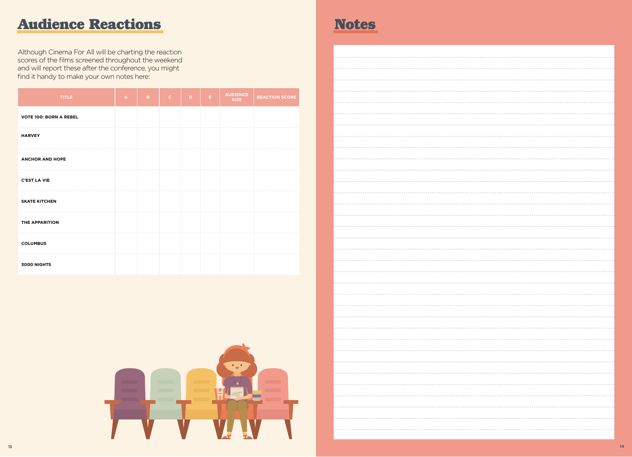# Audience Reactions **Notes**

Although Cinema For All will be charting the reaction scores of the films screened throughout the weekend and will report these after the conference, you might find it handy to make your own notes here:

| <b>TITLE</b>                  | $\mathbf{A}$ | B. | $\mathbf{C}$ | D | E. | <b>AUDIENCE</b><br><b>SIZE</b> | <b>REACTION SCORE</b> |
|-------------------------------|--------------|----|--------------|---|----|--------------------------------|-----------------------|
| <b>VOTE 100: BORN A REBEL</b> |              |    |              |   |    |                                |                       |
| <b>HARVEY</b>                 |              |    |              |   |    |                                |                       |
| <b>ANCHOR AND HOPE</b>        |              |    |              |   |    |                                |                       |
| <b>C'EST LA VIE</b>           |              |    |              |   |    |                                |                       |
| <b>SKATE KITCHEN</b>          |              |    |              |   |    |                                |                       |
| THE APPARITION                |              |    |              |   |    |                                |                       |
| <b>COLUMBUS</b>               |              |    |              |   |    |                                |                       |
| <b>3000 NIGHTS</b>            |              |    |              |   |    |                                |                       |